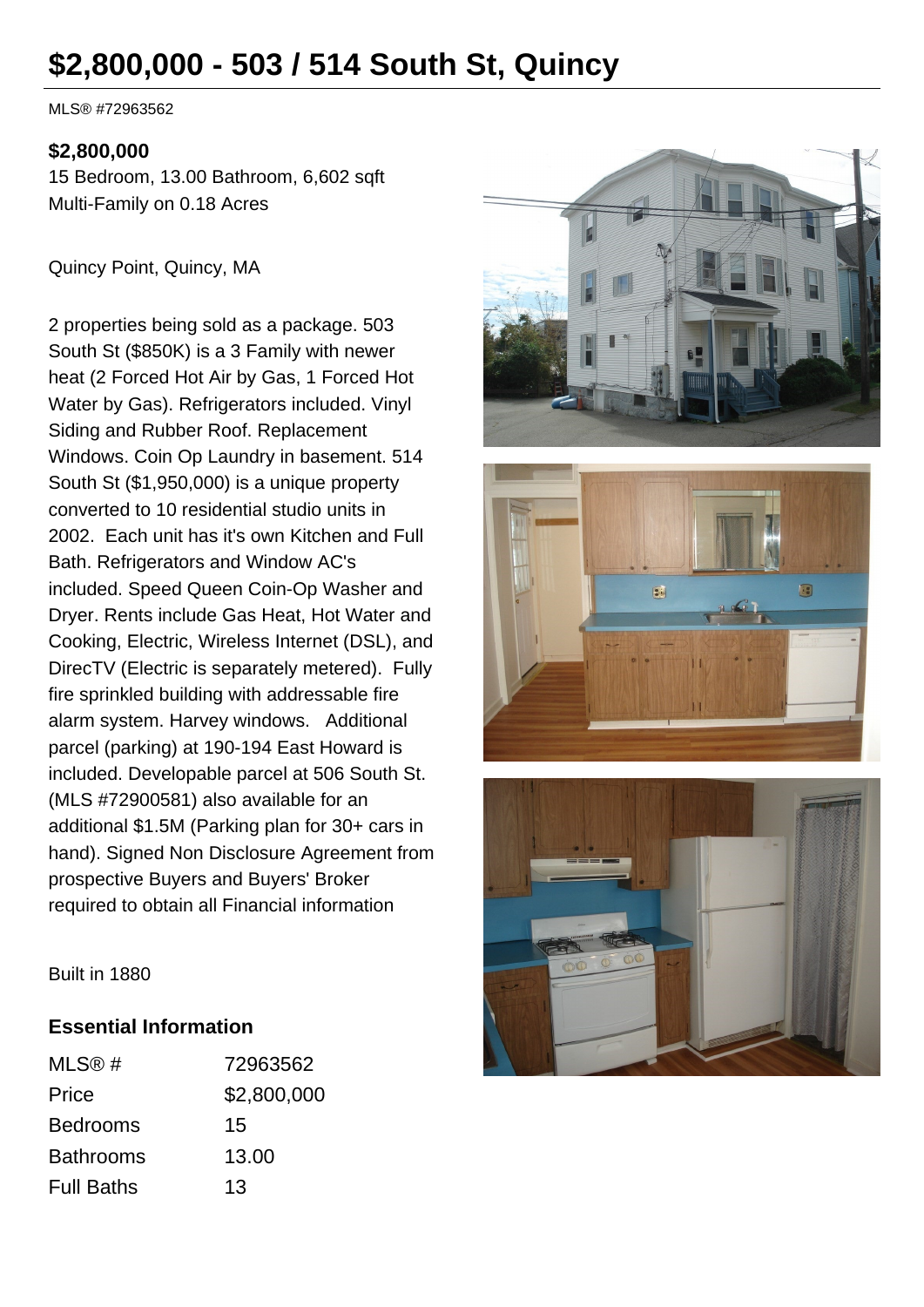# **\$2,800,000 - 503 / 514 South St, Quincy**

MLS® #72963562

#### **\$2,800,000**

15 Bedroom, 13.00 Bathroom, 6,602 sqft Multi-Family on 0.18 Acres

Quincy Point, Quincy, MA

2 properties being sold as a package. 503 South St (\$850K) is a 3 Family with newer heat (2 Forced Hot Air by Gas, 1 Forced Hot Water by Gas). Refrigerators included. Vinyl Siding and Rubber Roof. Replacement Windows. Coin Op Laundry in basement. 514 South St (\$1,950,000) is a unique property converted to 10 residential studio units in 2002. Each unit has it's own Kitchen and Full Bath. Refrigerators and Window AC's included. Speed Queen Coin-Op Washer and Dryer. Rents include Gas Heat, Hot Water and Cooking, Electric, Wireless Internet (DSL), and DirecTV (Electric is separately metered). Fully fire sprinkled building with addressable fire alarm system. Harvey windows. Additional parcel (parking) at 190-194 East Howard is included. Developable parcel at 506 South St. (MLS #72900581) also available for an additional \$1.5M (Parking plan for 30+ cars in hand). Signed Non Disclosure Agreement from prospective Buyers and Buyers' Broker required to obtain all Financial information







Built in 1880

#### **Essential Information**

| MLS@#             | 72963562    |
|-------------------|-------------|
| Price             | \$2,800,000 |
| <b>Bedrooms</b>   | 15          |
| <b>Bathrooms</b>  | 13,00       |
| <b>Full Baths</b> | 13          |